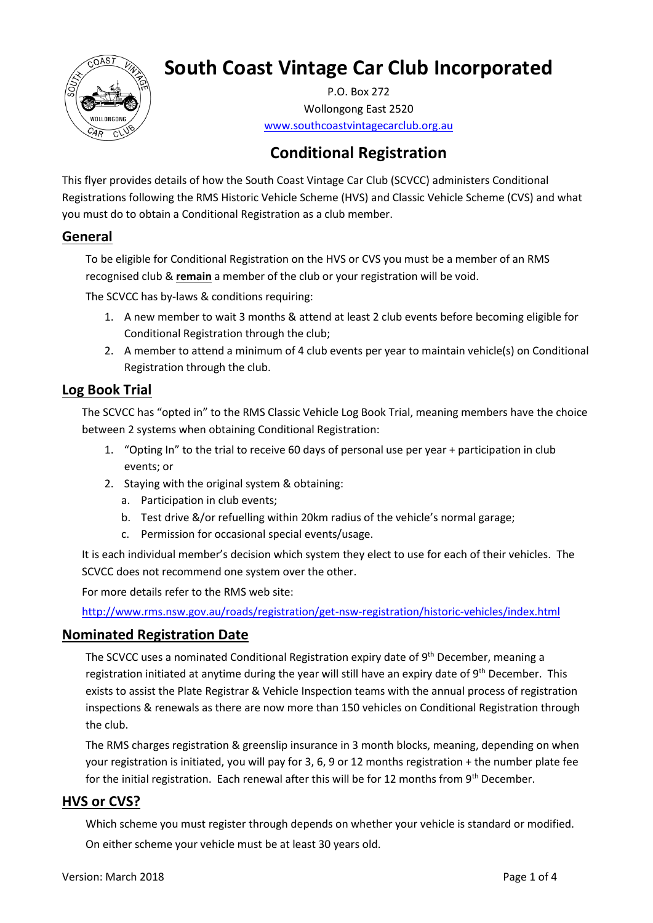

# **South Coast Vintage Car Club Incorporated**

P.O. Box 272 Wollongong East 2520 [www.southcoastvintagecarclub.org.au](http://www.southcoastvintagecarclub.org.au/)

# **Conditional Registration**

This flyer provides details of how the South Coast Vintage Car Club (SCVCC) administers Conditional Registrations following the RMS Historic Vehicle Scheme (HVS) and Classic Vehicle Scheme (CVS) and what you must do to obtain a Conditional Registration as a club member.

# **General**

To be eligible for Conditional Registration on the HVS or CVS you must be a member of an RMS recognised club & **remain** a member of the club or your registration will be void.

The SCVCC has by-laws & conditions requiring:

- 1. A new member to wait 3 months & attend at least 2 club events before becoming eligible for Conditional Registration through the club;
- 2. A member to attend a minimum of 4 club events per year to maintain vehicle(s) on Conditional Registration through the club.

# **Log Book Trial**

The SCVCC has "opted in" to the RMS Classic Vehicle Log Book Trial, meaning members have the choice between 2 systems when obtaining Conditional Registration:

- 1. "Opting In" to the trial to receive 60 days of personal use per year + participation in club events; or
- 2. Staying with the original system & obtaining:
	- a. Participation in club events;
	- b. Test drive &/or refuelling within 20km radius of the vehicle's normal garage;
	- c. Permission for occasional special events/usage.

It is each individual member's decision which system they elect to use for each of their vehicles. The SCVCC does not recommend one system over the other.

For more details refer to the RMS web site:

<http://www.rms.nsw.gov.au/roads/registration/get-nsw-registration/historic-vehicles/index.html>

#### **Nominated Registration Date**

The SCVCC uses a nominated Conditional Registration expiry date of 9<sup>th</sup> December, meaning a registration initiated at anytime during the year will still have an expiry date of 9<sup>th</sup> December. This exists to assist the Plate Registrar & Vehicle Inspection teams with the annual process of registration inspections & renewals as there are now more than 150 vehicles on Conditional Registration through the club.

The RMS charges registration & greenslip insurance in 3 month blocks, meaning, depending on when your registration is initiated, you will pay for 3, 6, 9 or 12 months registration + the number plate fee for the initial registration. Each renewal after this will be for 12 months from 9<sup>th</sup> December.

## **HVS or CVS?**

Which scheme you must register through depends on whether your vehicle is standard or modified.

On either scheme your vehicle must be at least 30 years old.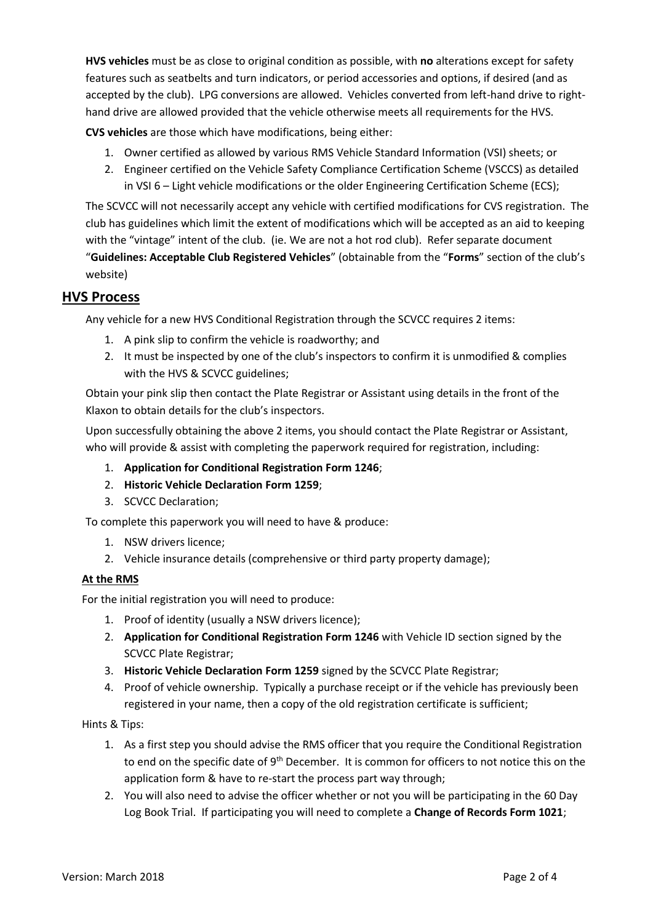**HVS vehicles** must be as close to original condition as possible, with **no** alterations except for safety features such as [seatbelts](http://www.rms.nsw.gov.au/roads/registration/get-nsw-registration/historic-vehicles/index.html#Seatbeltsandchildrestraints) and turn indicators, or period accessories and options, if desired (and as accepted by the club). LPG conversions are allowed. Vehicles converted from left-hand drive to righthand drive are allowed provided that the vehicle otherwise meets all requirements for the HVS.

**CVS vehicles** are those which have modifications, being either:

- 1. Owner certified as allowed by various RMS Vehicle Standard Information (VSI) sheets; or
- 2. Engineer certified on the Vehicle Safety Compliance Certification Scheme (VSCCS) as detailed in VSI 6 – Light vehicle modifications or the older Engineering Certification Scheme (ECS);

The SCVCC will not necessarily accept any vehicle with certified modifications for CVS registration. The club has guidelines which limit the extent of modifications which will be accepted as an aid to keeping with the "vintage" intent of the club. (ie. We are not a hot rod club). Refer separate document "**Guidelines: Acceptable Club Registered Vehicles**" (obtainable from the "**Forms**" section of the club's website)

### **HVS Process**

Any vehicle for a new HVS Conditional Registration through the SCVCC requires 2 items:

- 1. A pink slip to confirm the vehicle is roadworthy; and
- 2. It must be inspected by one of the club's inspectors to confirm it is unmodified & complies with the HVS & SCVCC guidelines;

Obtain your pink slip then contact the Plate Registrar or Assistant using details in the front of the Klaxon to obtain details for the club's inspectors.

Upon successfully obtaining the above 2 items, you should contact the Plate Registrar or Assistant, who will provide & assist with completing the paperwork required for registration, including:

- 1. **Application for Conditional Registration Form 1246**;
- 2. **Historic Vehicle Declaration Form 1259**;
- 3. SCVCC Declaration;

To complete this paperwork you will need to have & produce:

- 1. NSW drivers licence;
- 2. Vehicle insurance details (comprehensive or third party property damage);

#### **At the RMS**

For the initial registration you will need to produce:

- 1. Proof of identity (usually a NSW drivers licence);
- 2. **Application for Conditional Registration Form 1246** with Vehicle ID section signed by the SCVCC Plate Registrar;
- 3. **Historic Vehicle Declaration Form 1259** signed by the SCVCC Plate Registrar;
- 4. Proof of vehicle ownership. Typically a purchase receipt or if the vehicle has previously been registered in your name, then a copy of the old registration certificate is sufficient;

#### Hints & Tips:

- 1. As a first step you should advise the RMS officer that you require the Conditional Registration to end on the specific date of 9<sup>th</sup> December. It is common for officers to not notice this on the application form & have to re-start the process part way through;
- 2. You will also need to advise the officer whether or not you will be participating in the 60 Day Log Book Trial. If participating you will need to complete a **Change of Records Form 1021**;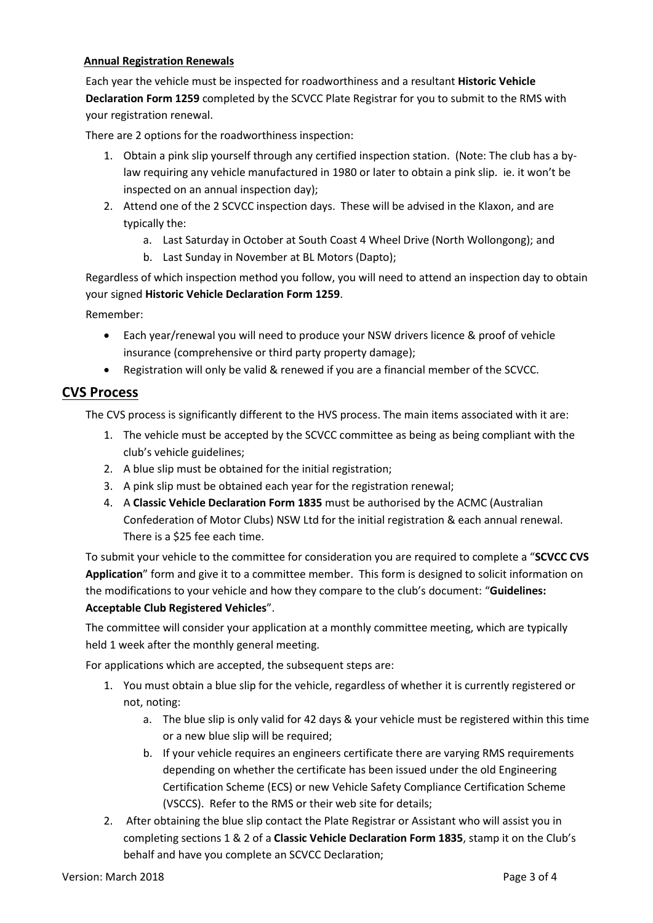#### **Annual Registration Renewals**

Each year the vehicle must be inspected for roadworthiness and a resultant **Historic Vehicle Declaration Form 1259** completed by the SCVCC Plate Registrar for you to submit to the RMS with your registration renewal.

There are 2 options for the roadworthiness inspection:

- 1. Obtain a pink slip yourself through any certified inspection station. (Note: The club has a bylaw requiring any vehicle manufactured in 1980 or later to obtain a pink slip. ie. it won't be inspected on an annual inspection day);
- 2. Attend one of the 2 SCVCC inspection days. These will be advised in the Klaxon, and are typically the:
	- a. Last Saturday in October at South Coast 4 Wheel Drive (North Wollongong); and
	- b. Last Sunday in November at BL Motors (Dapto);

Regardless of which inspection method you follow, you will need to attend an inspection day to obtain your signed **Historic Vehicle Declaration Form 1259**.

Remember:

- Each year/renewal you will need to produce your NSW drivers licence & proof of vehicle insurance (comprehensive or third party property damage);
- Registration will only be valid & renewed if you are a financial member of the SCVCC.

#### **CVS Process**

The CVS process is significantly different to the HVS process. The main items associated with it are:

- 1. The vehicle must be accepted by the SCVCC committee as being as being compliant with the club's vehicle guidelines;
- 2. A blue slip must be obtained for the initial registration;
- 3. A pink slip must be obtained each year for the registration renewal;
- 4. A **Classic Vehicle Declaration Form 1835** must be authorised by the ACMC (Australian Confederation of Motor Clubs) NSW Ltd for the initial registration & each annual renewal. There is a \$25 fee each time.

To submit your vehicle to the committee for consideration you are required to complete a "**SCVCC CVS Application**" form and give it to a committee member. This form is designed to solicit information on the modifications to your vehicle and how they compare to the club's document: "**Guidelines: Acceptable Club Registered Vehicles**".

The committee will consider your application at a monthly committee meeting, which are typically held 1 week after the monthly general meeting.

For applications which are accepted, the subsequent steps are:

- 1. You must obtain a blue slip for the vehicle, regardless of whether it is currently registered or not, noting:
	- a. The blue slip is only valid for 42 days & your vehicle must be registered within this time or a new blue slip will be required;
	- b. If your vehicle requires an engineers certificate there are varying RMS requirements depending on whether the certificate has been issued under the old Engineering Certification Scheme (ECS) or new Vehicle Safety Compliance Certification Scheme (VSCCS). Refer to the RMS or their web site for details;
- 2. After obtaining the blue slip contact the Plate Registrar or Assistant who will assist you in completing sections 1 & 2 of a **Classic Vehicle Declaration Form 1835**, stamp it on the Club's behalf and have you complete an SCVCC Declaration;